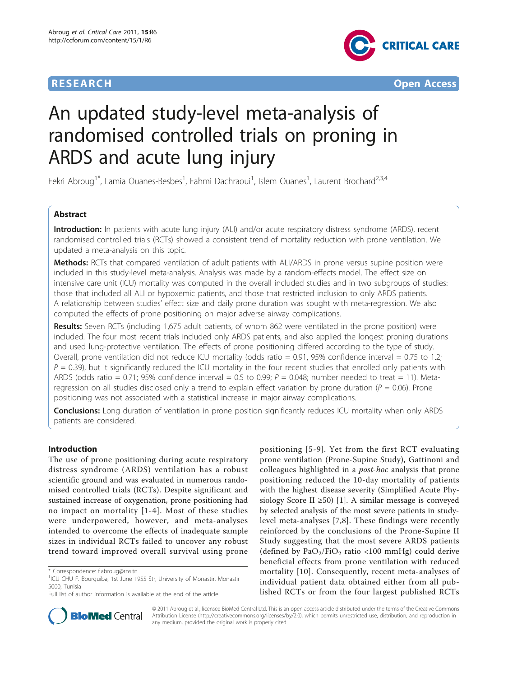



# An updated study-level meta-analysis of randomised controlled trials on proning in ARDS and acute lung injury

Fekri Abroug<sup>1\*</sup>, Lamia Ouanes-Besbes<sup>1</sup>, Fahmi Dachraoui<sup>1</sup>, Islem Ouanes<sup>1</sup>, Laurent Brochard<sup>2,3,4</sup>

# Abstract

Introduction: In patients with acute lung injury (ALI) and/or acute respiratory distress syndrome (ARDS), recent randomised controlled trials (RCTs) showed a consistent trend of mortality reduction with prone ventilation. We updated a meta-analysis on this topic.

Methods: RCTs that compared ventilation of adult patients with ALI/ARDS in prone versus supine position were included in this study-level meta-analysis. Analysis was made by a random-effects model. The effect size on intensive care unit (ICU) mortality was computed in the overall included studies and in two subgroups of studies: those that included all ALI or hypoxemic patients, and those that restricted inclusion to only ARDS patients. A relationship between studies' effect size and daily prone duration was sought with meta-regression. We also computed the effects of prone positioning on major adverse airway complications.

Results: Seven RCTs (including 1,675 adult patients, of whom 862 were ventilated in the prone position) were included. The four most recent trials included only ARDS patients, and also applied the longest proning durations and used lung-protective ventilation. The effects of prone positioning differed according to the type of study. Overall, prone ventilation did not reduce ICU mortality (odds ratio  $= 0.91$ , 95% confidence interval  $= 0.75$  to 1.2;  $P = 0.39$ ), but it significantly reduced the ICU mortality in the four recent studies that enrolled only patients with ARDS (odds ratio = 0.71; 95% confidence interval = 0.5 to 0.99;  $P = 0.048$ ; number needed to treat = 11). Metaregression on all studies disclosed only a trend to explain effect variation by prone duration ( $P = 0.06$ ). Prone positioning was not associated with a statistical increase in major airway complications.

**Conclusions:** Long duration of ventilation in prone position significantly reduces ICU mortality when only ARDS patients are considered.

# Introduction

The use of prone positioning during acute respiratory distress syndrome (ARDS) ventilation has a robust scientific ground and was evaluated in numerous randomised controlled trials (RCTs). Despite significant and sustained increase of oxygenation, prone positioning had no impact on mortality [[1-4\]](#page-7-0). Most of these studies were underpowered, however, and meta-analyses intended to overcome the effects of inadequate sample sizes in individual RCTs failed to uncover any robust trend toward improved overall survival using prone

positioning [[5](#page-7-0)-[9](#page-7-0)]. Yet from the first RCT evaluating prone ventilation (Prone-Supine Study), Gattinoni and colleagues highlighted in a post-hoc analysis that prone positioning reduced the 10-day mortality of patients with the highest disease severity (Simplified Acute Phy-siology Score II ≥50) [[1\]](#page-7-0). A similar message is conveyed by selected analysis of the most severe patients in studylevel meta-analyses [[7,8](#page-7-0)]. These findings were recently reinforced by the conclusions of the Prone-Supine II Study suggesting that the most severe ARDS patients (defined by  $PaO<sub>2</sub>/FiO<sub>2</sub>$  ratio <100 mmHg) could derive beneficial effects from prone ventilation with reduced mortality [[10\]](#page-7-0). Consequently, recent meta-analyses of individual patient data obtained either from all published RCTs or from the four largest published RCTs



© 2011 Abroug et al.; licensee BioMed Central Ltd. This is an open access article distributed under the terms of the Creative Commons Attribution License [\(http://creativecommons.org/licenses/by/2.0](http://creativecommons.org/licenses/by/2.0)), which permits unrestricted use, distribution, and reproduction in any medium, provided the original work is properly cited.

<sup>\*</sup> Correspondence: [f.abroug@rns.tn](mailto:f.abroug@rns.tn)

<sup>&</sup>lt;sup>1</sup>ICU CHU F. Bourguiba, 1st June 1955 Str, University of Monastir, Monastir 5000, Tunisia

Full list of author information is available at the end of the article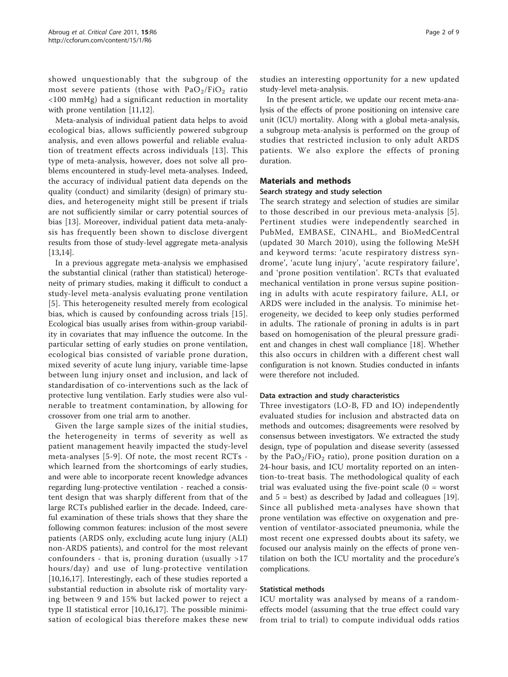showed unquestionably that the subgroup of the most severe patients (those with  $PaO<sub>2</sub>/FiO<sub>2</sub>$  ratio <100 mmHg) had a significant reduction in mortality with prone ventilation [\[11,](#page-7-0)[12\]](#page-8-0).

Meta-analysis of individual patient data helps to avoid ecological bias, allows sufficiently powered subgroup analysis, and even allows powerful and reliable evaluation of treatment effects across individuals [[13](#page-8-0)]. This type of meta-analysis, however, does not solve all problems encountered in study-level meta-analyses. Indeed, the accuracy of individual patient data depends on the quality (conduct) and similarity (design) of primary studies, and heterogeneity might still be present if trials are not sufficiently similar or carry potential sources of bias [\[13](#page-8-0)]. Moreover, individual patient data meta-analysis has frequently been shown to disclose divergent results from those of study-level aggregate meta-analysis [[13,14\]](#page-8-0).

In a previous aggregate meta-analysis we emphasised the substantial clinical (rather than statistical) heterogeneity of primary studies, making it difficult to conduct a study-level meta-analysis evaluating prone ventilation [[5](#page-7-0)]. This heterogeneity resulted merely from ecological bias, which is caused by confounding across trials [[15](#page-8-0)]. Ecological bias usually arises from within-group variability in covariates that may influence the outcome. In the particular setting of early studies on prone ventilation, ecological bias consisted of variable prone duration, mixed severity of acute lung injury, variable time-lapse between lung injury onset and inclusion, and lack of standardisation of co-interventions such as the lack of protective lung ventilation. Early studies were also vulnerable to treatment contamination, by allowing for crossover from one trial arm to another.

Given the large sample sizes of the initial studies, the heterogeneity in terms of severity as well as patient management heavily impacted the study-level meta-analyses [[5-9\]](#page-7-0). Of note, the most recent RCTs which learned from the shortcomings of early studies, and were able to incorporate recent knowledge advances regarding lung-protective ventilation - reached a consistent design that was sharply different from that of the large RCTs published earlier in the decade. Indeed, careful examination of these trials shows that they share the following common features: inclusion of the most severe patients (ARDS only, excluding acute lung injury (ALI) non-ARDS patients), and control for the most relevant confounders - that is, proning duration (usually  $>17$ hours/day) and use of lung-protective ventilation [[10,](#page-7-0)[16,17\]](#page-8-0). Interestingly, each of these studies reported a substantial reduction in absolute risk of mortality varying between 9 and 15% but lacked power to reject a type II statistical error [\[10](#page-7-0),[16,17\]](#page-8-0). The possible minimisation of ecological bias therefore makes these new studies an interesting opportunity for a new updated study-level meta-analysis.

In the present article, we update our recent meta-analysis of the effects of prone positioning on intensive care unit (ICU) mortality. Along with a global meta-analysis, a subgroup meta-analysis is performed on the group of studies that restricted inclusion to only adult ARDS patients. We also explore the effects of proning duration.

# Materials and methods

## Search strategy and study selection

The search strategy and selection of studies are similar to those described in our previous meta-analysis [[5\]](#page-7-0). Pertinent studies were independently searched in PubMed, EMBASE, CINAHL, and BioMedCentral (updated 30 March 2010), using the following MeSH and keyword terms: 'acute respiratory distress syndrome', 'acute lung injury', 'acute respiratory failure', and 'prone position ventilation'. RCTs that evaluated mechanical ventilation in prone versus supine positioning in adults with acute respiratory failure, ALI, or ARDS were included in the analysis. To minimise heterogeneity, we decided to keep only studies performed in adults. The rationale of proning in adults is in part based on homogenisation of the pleural pressure gradient and changes in chest wall compliance [[18\]](#page-8-0). Whether this also occurs in children with a different chest wall configuration is not known. Studies conducted in infants were therefore not included.

#### Data extraction and study characteristics

Three investigators (LO-B, FD and IO) independently evaluated studies for inclusion and abstracted data on methods and outcomes; disagreements were resolved by consensus between investigators. We extracted the study design, type of population and disease severity (assessed by the  $PaO<sub>2</sub>/FiO<sub>2</sub>$  ratio), prone position duration on a 24-hour basis, and ICU mortality reported on an intention-to-treat basis. The methodological quality of each trial was evaluated using the five-point scale  $(0 =$  worst and 5 = best) as described by Jadad and colleagues [\[19](#page-8-0)]. Since all published meta-analyses have shown that prone ventilation was effective on oxygenation and prevention of ventilator-associated pneumonia, while the most recent one expressed doubts about its safety, we focused our analysis mainly on the effects of prone ventilation on both the ICU mortality and the procedure's complications.

## Statistical methods

ICU mortality was analysed by means of a randomeffects model (assuming that the true effect could vary from trial to trial) to compute individual odds ratios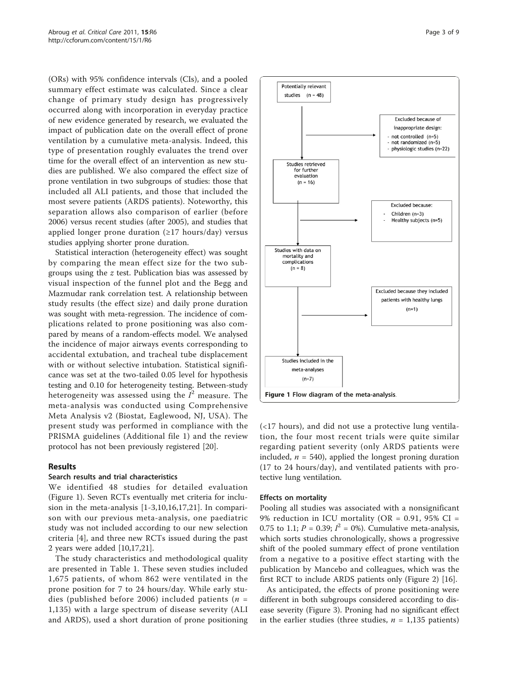(ORs) with 95% confidence intervals (CIs), and a pooled summary effect estimate was calculated. Since a clear change of primary study design has progressively occurred along with incorporation in everyday practice of new evidence generated by research, we evaluated the impact of publication date on the overall effect of prone ventilation by a cumulative meta-analysis. Indeed, this type of presentation roughly evaluates the trend over time for the overall effect of an intervention as new studies are published. We also compared the effect size of prone ventilation in two subgroups of studies: those that included all ALI patients, and those that included the most severe patients (ARDS patients). Noteworthy, this separation allows also comparison of earlier (before 2006) versus recent studies (after 2005), and studies that applied longer prone duration  $(≥17 \text{ hours/day})$  versus studies applying shorter prone duration.

Statistical interaction (heterogeneity effect) was sought by comparing the mean effect size for the two subgroups using the z test. Publication bias was assessed by visual inspection of the funnel plot and the Begg and Mazmudar rank correlation test. A relationship between study results (the effect size) and daily prone duration was sought with meta-regression. The incidence of complications related to prone positioning was also compared by means of a random-effects model. We analysed the incidence of major airways events corresponding to accidental extubation, and tracheal tube displacement with or without selective intubation. Statistical significance was set at the two-tailed 0.05 level for hypothesis testing and 0.10 for heterogeneity testing. Between-study heterogeneity was assessed using the  $I^2$  measure. The meta-analysis was conducted using Comprehensive Meta Analysis v2 (Biostat, Eaglewood, NJ, USA). The present study was performed in compliance with the PRISMA guidelines (Additional file [1](#page-7-0)) and the review protocol has not been previously registered [[20\]](#page-8-0).

# Results

#### Search results and trial characteristics

We identified 48 studies for detailed evaluation (Figure 1). Seven RCTs eventually met criteria for inclusion in the meta-analysis [[1-3](#page-7-0),[10,](#page-7-0)[16,17,21](#page-8-0)]. In comparison with our previous meta-analysis, one paediatric study was not included according to our new selection criteria [[4\]](#page-7-0), and three new RCTs issued during the past 2 years were added [[10,](#page-7-0)[17](#page-8-0),[21](#page-8-0)].

The study characteristics and methodological quality are presented in Table [1](#page-3-0). These seven studies included 1,675 patients, of whom 862 were ventilated in the prone position for 7 to 24 hours/day. While early studies (published before 2006) included patients ( $n =$ 1,135) with a large spectrum of disease severity (ALI and ARDS), used a short duration of prone positioning



(<17 hours), and did not use a protective lung ventilation, the four most recent trials were quite similar regarding patient severity (only ARDS patients were included,  $n = 540$ ), applied the longest proning duration (17 to 24 hours/day), and ventilated patients with protective lung ventilation.

#### Effects on mortality

Pooling all studies was associated with a nonsignificant 9% reduction in ICU mortality (OR = 0.91, 95% CI = 0.75 to 1.1;  $P = 0.39$ ;  $I^2 = 0$ %). Cumulative meta-analysis, which sorts studies chronologically, shows a progressive shift of the pooled summary effect of prone ventilation from a negative to a positive effect starting with the publication by Mancebo and colleagues, which was the first RCT to include ARDS patients only (Figure [2\)](#page-3-0) [\[16](#page-8-0)].

As anticipated, the effects of prone positioning were different in both subgroups considered according to disease severity (Figure [3\)](#page-4-0). Proning had no significant effect in the earlier studies (three studies,  $n = 1,135$  patients)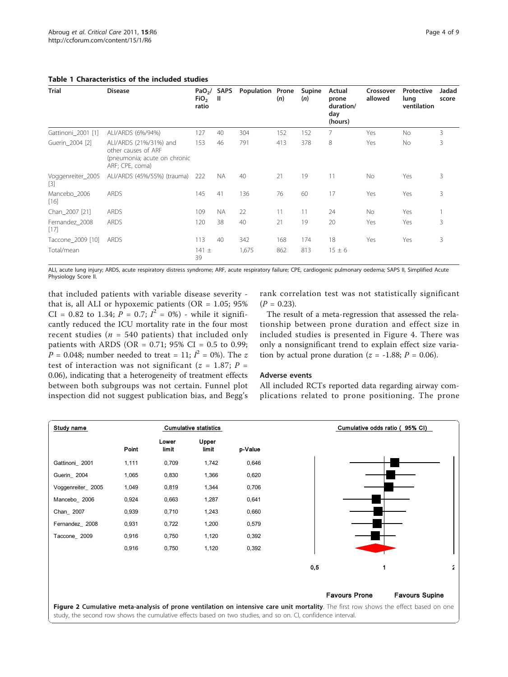<span id="page-3-0"></span>

|  | Table 1 Characteristics of the included studies |  |  |  |  |
|--|-------------------------------------------------|--|--|--|--|
|--|-------------------------------------------------|--|--|--|--|

| <b>Trial</b>               | <b>Disease</b>                                                                                   | $PaO2$ /<br>FiO <sub>2</sub><br>ratio | <b>SAPS</b><br>$\mathbf{I}$ | Population Prone | (n) | Supine<br>(n) | Actual<br>prone<br>duration/<br>day<br>(hours) | Crossover<br>allowed | Protective<br>lung<br>ventilation | Jadad<br>score |
|----------------------------|--------------------------------------------------------------------------------------------------|---------------------------------------|-----------------------------|------------------|-----|---------------|------------------------------------------------|----------------------|-----------------------------------|----------------|
| Gattinoni_2001 [1]         | ALI/ARDS (6%/94%)                                                                                | 127                                   | 40                          | 304              | 152 | 152           | 7                                              | Yes                  | No.                               | 3              |
| Guerin_2004 [2]            | ALI/ARDS (21%/31%) and<br>other causes of ARF<br>(pneumonia; acute on chronic<br>ARF; CPE, coma) | 153                                   | 46                          | 791              | 413 | 378           | 8                                              | Yes                  | No.                               | 3              |
| Voggenreiter_2005<br>$[3]$ | ALI/ARDS (45%/55%) (trauma)                                                                      | 222                                   | <b>NA</b>                   | 40               | 21  | 19            | 11                                             | <b>No</b>            | Yes                               | 3              |
| Mancebo 2006<br>$[16]$     | <b>ARDS</b>                                                                                      | 145                                   | 41                          | 136              | 76  | 60            | 17                                             | Yes                  | Yes                               | 3              |
| Chan_2007 [21]             | <b>ARDS</b>                                                                                      | 109                                   | <b>NA</b>                   | 22               | 11  | 11            | 24                                             | <b>No</b>            | Yes                               |                |
| Fernandez_2008<br>$[17]$   | <b>ARDS</b>                                                                                      | 120                                   | 38                          | 40               | 21  | 19            | 20                                             | Yes                  | Yes                               | 3              |
| Taccone_2009 [10]          | ARDS                                                                                             | 113                                   | 40                          | 342              | 168 | 174           | 18                                             | Yes                  | Yes                               | 3              |
| Total/mean                 |                                                                                                  | $141 \pm$<br>39                       |                             | 1,675            | 862 | 813           | $15 \pm 6$                                     |                      |                                   |                |

ALI, acute lung injury; ARDS, acute respiratory distress syndrome; ARF, acute respiratory failure; CPE, cardiogenic pulmonary oedema; SAPS II, Simplified Acute Physiology Score II.

that included patients with variable disease severity that is, all ALI or hypoxemic patients ( $OR = 1.05$ ; 95%)  $CI = 0.82$  to 1.34;  $P = 0.7$ ;  $I^2 = 0\%$ ) - while it significantly reduced the ICU mortality rate in the four most recent studies ( $n = 540$  patients) that included only patients with ARDS (OR = 0.71; 95% CI = 0.5 to 0.99;  $\overline{P}$  = 0.048; number needed to treat = 11;  $I^2$  = 0%). The z test of interaction was not significant ( $z = 1.87; P =$ 0.06), indicating that a heterogeneity of treatment effects between both subgroups was not certain. Funnel plot inspection did not suggest publication bias, and Begg's

rank correlation test was not statistically significant  $(P = 0.23)$ .

The result of a meta-regression that assessed the relationship between prone duration and effect size in included studies is presented in Figure [4.](#page-5-0) There was only a nonsignificant trend to explain effect size variation by actual prone duration ( $z = -1.88$ ;  $P = 0.06$ ).

#### Adverse events

All included RCTs reported data regarding airway complications related to prone positioning. The prone

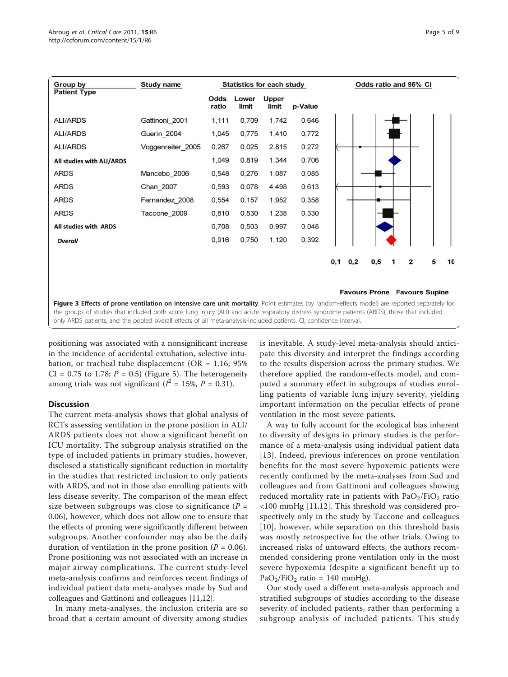<span id="page-4-0"></span>

positioning was associated with a nonsignificant increase in the incidence of accidental extubation, selective intubation, or tracheal tube displacement (OR = 1.16; 95% CI = 0.75 to 1.78;  $P = 0.5$ ) (Figure [5](#page-5-0)). The heterogeneity among trials was not significant ( $l^2 = 15\%$ ,  $P = 0.31$ ).

#### **Discussion**

The current meta-analysis shows that global analysis of RCTs assessing ventilation in the prone position in ALI/ ARDS patients does not show a significant benefit on ICU mortality. The subgroup analysis stratified on the type of included patients in primary studies, however, disclosed a statistically significant reduction in mortality in the studies that restricted inclusion to only patients with ARDS, and not in those also enrolling patients with less disease severity. The comparison of the mean effect size between subgroups was close to significance  $(P =$ 0.06), however, which does not allow one to ensure that the effects of proning were significantly different between subgroups. Another confounder may also be the daily duration of ventilation in the prone position ( $P = 0.06$ ). Prone positioning was not associated with an increase in major airway complications. The current study-level meta-analysis confirms and reinforces recent findings of individual patient data meta-analyses made by Sud and colleagues and Gattinoni and colleagues [\[11,](#page-7-0)[12\]](#page-8-0).

In many meta-analyses, the inclusion criteria are so broad that a certain amount of diversity among studies is inevitable. A study-level meta-analysis should anticipate this diversity and interpret the findings according to the results dispersion across the primary studies. We therefore applied the random-effects model, and computed a summary effect in subgroups of studies enrolling patients of variable lung injury severity, yielding important information on the peculiar effects of prone ventilation in the most severe patients.

A way to fully account for the ecological bias inherent to diversity of designs in primary studies is the performance of a meta-analysis using individual patient data [[13](#page-8-0)]. Indeed, previous inferences on prone ventilation benefits for the most severe hypoxemic patients were recently confirmed by the meta-analyses from Sud and colleagues and from Gattinoni and colleagues showing reduced mortality rate in patients with  $PaO<sub>2</sub>/FiO<sub>2</sub>$  ratio <100 mmHg [[11](#page-7-0),[12](#page-8-0)]. This threshold was considered prospectively only in the study by Taccone and colleagues [[10](#page-7-0)], however, while separation on this threshold basis was mostly retrospective for the other trials. Owing to increased risks of untoward effects, the authors recommended considering prone ventilation only in the most severe hypoxemia (despite a significant benefit up to  $PaO<sub>2</sub>/FiO<sub>2</sub>$  ratio = 140 mmHg).

Our study used a different meta-analysis approach and stratified subgroups of studies according to the disease severity of included patients, rather than performing a subgroup analysis of included patients. This study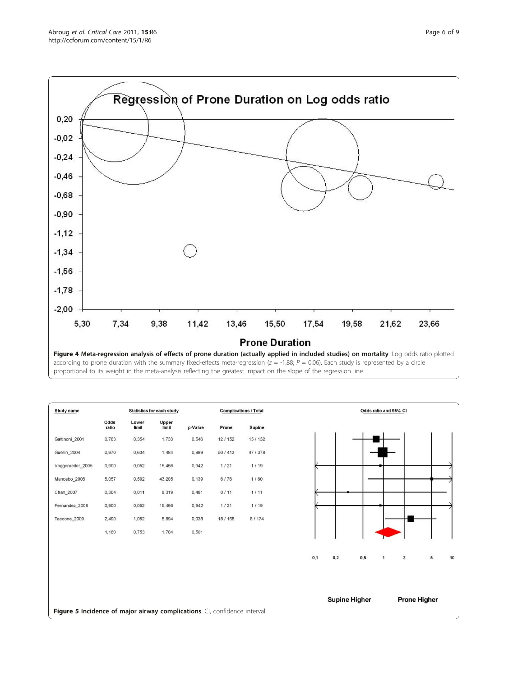<span id="page-5-0"></span>

proportional to its weight in the meta-analysis reflecting the greatest impact on the slope of the regression line.

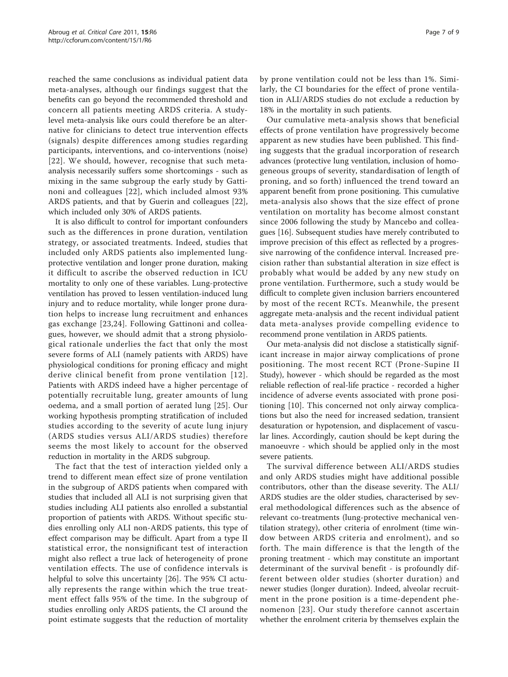reached the same conclusions as individual patient data meta-analyses, although our findings suggest that the benefits can go beyond the recommended threshold and concern all patients meeting ARDS criteria. A studylevel meta-analysis like ours could therefore be an alternative for clinicians to detect true intervention effects (signals) despite differences among studies regarding participants, interventions, and co-interventions (noise) [[22\]](#page-8-0). We should, however, recognise that such metaanalysis necessarily suffers some shortcomings - such as mixing in the same subgroup the early study by Gattinoni and colleagues [[22](#page-8-0)], which included almost 93% ARDS patients, and that by Guerin and colleagues [\[22](#page-8-0)], which included only 30% of ARDS patients.

It is also difficult to control for important confounders such as the differences in prone duration, ventilation strategy, or associated treatments. Indeed, studies that included only ARDS patients also implemented lungprotective ventilation and longer prone duration, making it difficult to ascribe the observed reduction in ICU mortality to only one of these variables. Lung-protective ventilation has proved to lessen ventilation-induced lung injury and to reduce mortality, while longer prone duration helps to increase lung recruitment and enhances gas exchange [\[23,24](#page-8-0)]. Following Gattinoni and colleagues, however, we should admit that a strong physiological rationale underlies the fact that only the most severe forms of ALI (namely patients with ARDS) have physiological conditions for proning efficacy and might derive clinical benefit from prone ventilation [[12\]](#page-8-0). Patients with ARDS indeed have a higher percentage of potentially recruitable lung, greater amounts of lung oedema, and a small portion of aerated lung [\[25](#page-8-0)]. Our working hypothesis prompting stratification of included studies according to the severity of acute lung injury (ARDS studies versus ALI/ARDS studies) therefore seems the most likely to account for the observed reduction in mortality in the ARDS subgroup.

The fact that the test of interaction yielded only a trend to different mean effect size of prone ventilation in the subgroup of ARDS patients when compared with studies that included all ALI is not surprising given that studies including ALI patients also enrolled a substantial proportion of patients with ARDS. Without specific studies enrolling only ALI non-ARDS patients, this type of effect comparison may be difficult. Apart from a type II statistical error, the nonsignificant test of interaction might also reflect a true lack of heterogeneity of prone ventilation effects. The use of confidence intervals is helpful to solve this uncertainty [[26\]](#page-8-0). The 95% CI actually represents the range within which the true treatment effect falls 95% of the time. In the subgroup of studies enrolling only ARDS patients, the CI around the point estimate suggests that the reduction of mortality by prone ventilation could not be less than 1%. Similarly, the CI boundaries for the effect of prone ventilation in ALI/ARDS studies do not exclude a reduction by 18% in the mortality in such patients.

Our cumulative meta-analysis shows that beneficial effects of prone ventilation have progressively become apparent as new studies have been published. This finding suggests that the gradual incorporation of research advances (protective lung ventilation, inclusion of homogeneous groups of severity, standardisation of length of proning, and so forth) influenced the trend toward an apparent benefit from prone positioning. This cumulative meta-analysis also shows that the size effect of prone ventilation on mortality has become almost constant since 2006 following the study by Mancebo and colleagues [[16\]](#page-8-0). Subsequent studies have merely contributed to improve precision of this effect as reflected by a progressive narrowing of the confidence interval. Increased precision rather than substantial alteration in size effect is probably what would be added by any new study on prone ventilation. Furthermore, such a study would be difficult to complete given inclusion barriers encountered by most of the recent RCTs. Meanwhile, the present aggregate meta-analysis and the recent individual patient data meta-analyses provide compelling evidence to recommend prone ventilation in ARDS patients.

Our meta-analysis did not disclose a statistically significant increase in major airway complications of prone positioning. The most recent RCT (Prone-Supine II Study), however - which should be regarded as the most reliable reflection of real-life practice - recorded a higher incidence of adverse events associated with prone positioning [[10](#page-7-0)]. This concerned not only airway complications but also the need for increased sedation, transient desaturation or hypotension, and displacement of vascular lines. Accordingly, caution should be kept during the manoeuvre - which should be applied only in the most severe patients.

The survival difference between ALI/ARDS studies and only ARDS studies might have additional possible contributors, other than the disease severity. The ALI/ ARDS studies are the older studies, characterised by several methodological differences such as the absence of relevant co-treatments (lung-protective mechanical ventilation strategy), other criteria of enrolment (time window between ARDS criteria and enrolment), and so forth. The main difference is that the length of the proning treatment - which may constitute an important determinant of the survival benefit - is profoundly different between older studies (shorter duration) and newer studies (longer duration). Indeed, alveolar recruitment in the prone position is a time-dependent phenomenon [[23\]](#page-8-0). Our study therefore cannot ascertain whether the enrolment criteria by themselves explain the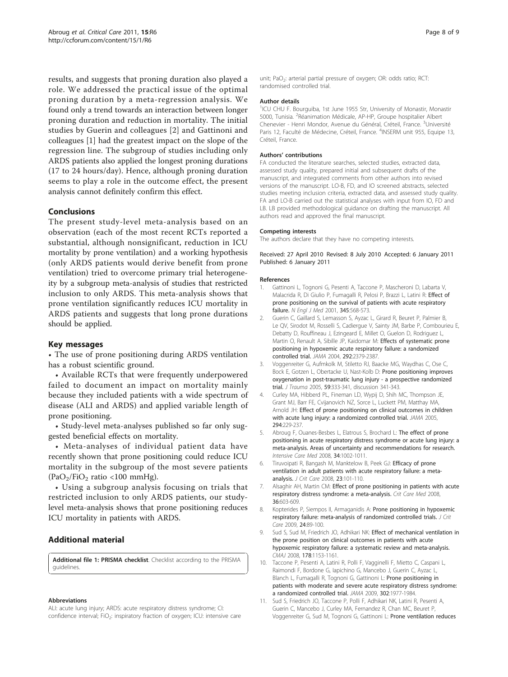<span id="page-7-0"></span>results, and suggests that proning duration also played a role. We addressed the practical issue of the optimal proning duration by a meta-regression analysis. We found only a trend towards an interaction between longer proning duration and reduction in mortality. The initial studies by Guerin and colleagues [2] and Gattinoni and colleagues [1] had the greatest impact on the slope of the regression line. The subgroup of studies including only ARDS patients also applied the longest proning durations (17 to 24 hours/day). Hence, although proning duration seems to play a role in the outcome effect, the present analysis cannot definitely confirm this effect.

#### Conclusions

The present study-level meta-analysis based on an observation (each of the most recent RCTs reported a substantial, although nonsignificant, reduction in ICU mortality by prone ventilation) and a working hypothesis (only ARDS patients would derive benefit from prone ventilation) tried to overcome primary trial heterogeneity by a subgroup meta-analysis of studies that restricted inclusion to only ARDS. This meta-analysis shows that prone ventilation significantly reduces ICU mortality in ARDS patients and suggests that long prone durations should be applied.

#### Key messages

• The use of prone positioning during ARDS ventilation has a robust scientific ground.

• Available RCTs that were frequently underpowered failed to document an impact on mortality mainly because they included patients with a wide spectrum of disease (ALI and ARDS) and applied variable length of prone positioning.

• Study-level meta-analyses published so far only suggested beneficial effects on mortality.

• Meta-analyses of individual patient data have recently shown that prone positioning could reduce ICU mortality in the subgroup of the most severe patients  $(PaO<sub>2</sub>/FiO<sub>2</sub> ratio < 100 mmHg).$ 

• Using a subgroup analysis focusing on trials that restricted inclusion to only ARDS patients, our studylevel meta-analysis shows that prone positioning reduces ICU mortality in patients with ARDS.

# Additional material

[Additional file 1: P](http://www.biomedcentral.com/content/supplementary/cc9403-S1.DOC)RISMA checklist. Checklist according to the PRISMA guidelines.

#### Abbreviations

ALI: acute lung injury; ARDS: acute respiratory distress syndrome; CI: confidence interval; FiO<sub>2</sub>: inspiratory fraction of oxygen; ICU: intensive care

unit; PaO<sub>2</sub>: arterial partial pressure of oxygen; OR: odds ratio; RCT: randomised controlled trial.

#### Author details

<sup>1</sup>ICU CHU F. Bourguiba, 1st June 1955 Str, University of Monastir, Monastir 5000, Tunisia. <sup>2</sup> Réanimation Médicale, AP-HP, Groupe hospitalier Albert Chenevier - Henri Mondor, Avenue du Général, Créteil, France. <sup>3</sup>Université Paris 12, Faculté de Médecine, Créteil, France. <sup>4</sup>INSERM unit 955, Equipe 13 Créteil, France.

#### Authors' contributions

FA conducted the literature searches, selected studies, extracted data, assessed study quality, prepared initial and subsequent drafts of the manuscript, and integrated comments from other authors into revised versions of the manuscript. LO-B, FD, and IO screened abstracts, selected studies meeting inclusion criteria, extracted data, and assessed study quality. FA and LO-B carried out the statistical analyses with input from IO, FD and LB. LB provided methodological guidance on drafting the manuscript. All authors read and approved the final manuscript.

#### Competing interests

The authors declare that they have no competing interests.

Received: 27 April 2010 Revised: 8 July 2010 Accepted: 6 January 2011 Published: 6 January 2011

#### References

- Gattinoni L, Tognoni G, Pesenti A, Taccone P, Mascheroni D, Labarta V, Malacrida R, Di Giulio P, Fumagalli R, Pelosi P, Brazzi L, Latini R: [Effect of](http://www.ncbi.nlm.nih.gov/pubmed/11529210?dopt=Abstract) [prone positioning on the survival of patients with acute respiratory](http://www.ncbi.nlm.nih.gov/pubmed/11529210?dopt=Abstract) [failure.](http://www.ncbi.nlm.nih.gov/pubmed/11529210?dopt=Abstract) N Engl J Med 2001, 345:568-573.
- 2. Guerin C, Gaillard S, Lemasson S, Ayzac L, Girard R, Beuret P, Palmier B, Le QV, Sirodot M, Rosselli S, Cadiergue V, Sainty JM, Barbe P, Combourieu E, Debatty D, Rouffineau J, Ezingeard E, Millet O, Guelon D, Rodriguez L, Martin O, Renault A, Sibille JP, Kaidomar M: [Effects of systematic prone](http://www.ncbi.nlm.nih.gov/pubmed/15547166?dopt=Abstract) [positioning in hypoxemic acute respiratory failure: a randomized](http://www.ncbi.nlm.nih.gov/pubmed/15547166?dopt=Abstract) [controlled trial.](http://www.ncbi.nlm.nih.gov/pubmed/15547166?dopt=Abstract) JAMA 2004, 292:2379-2387.
- 3. Voggenreiter G, Aufmkolk M, Stiletto RJ, Baacke MG, Waydhas C, Ose C, Bock E, Gotzen L, Obertacke U, Nast-Kolb D: [Prone positioning improves](http://www.ncbi.nlm.nih.gov/pubmed/16294072?dopt=Abstract) [oxygenation in post-traumatic lung injury - a prospective randomized](http://www.ncbi.nlm.nih.gov/pubmed/16294072?dopt=Abstract) [trial.](http://www.ncbi.nlm.nih.gov/pubmed/16294072?dopt=Abstract) J Trauma 2005, 59:333-341, discussion 341-343.
- 4. Curley MA, Hibberd PL, Fineman LD, Wypij D, Shih MC, Thompson JE, Grant MJ, Barr FE, Cvijanovich NZ, Sorce L, Luckett PM, Matthay MA, Arnold JH: [Effect of prone positioning on clinical outcomes in children](http://www.ncbi.nlm.nih.gov/pubmed/16014597?dopt=Abstract) [with acute lung injury: a randomized controlled trial.](http://www.ncbi.nlm.nih.gov/pubmed/16014597?dopt=Abstract) JAMA 2005, 294:229-237.
- 5. Abroug F, Ouanes-Besbes L, Elatrous S, Brochard L: [The effect of prone](http://www.ncbi.nlm.nih.gov/pubmed/18350271?dopt=Abstract) [positioning in acute respiratory distress syndrome or acute lung injury: a](http://www.ncbi.nlm.nih.gov/pubmed/18350271?dopt=Abstract) [meta-analysis. Areas of uncertainty and recommendations for research.](http://www.ncbi.nlm.nih.gov/pubmed/18350271?dopt=Abstract) Intensive Care Med 2008, 34:1002-1011.
- 6. Tiruvoipati R, Bangash M, Manktelow B, Peek GJ: [Efficacy of prone](http://www.ncbi.nlm.nih.gov/pubmed/18359427?dopt=Abstract) [ventilation in adult patients with acute respiratory failure: a meta](http://www.ncbi.nlm.nih.gov/pubmed/18359427?dopt=Abstract)[analysis.](http://www.ncbi.nlm.nih.gov/pubmed/18359427?dopt=Abstract) J Crit Care 2008, 23:101-110.
- 7. Alsaghir AH, Martin CM: [Effect of prone positioning in patients with acute](http://www.ncbi.nlm.nih.gov/pubmed/18216609?dopt=Abstract) [respiratory distress syndrome: a meta-analysis.](http://www.ncbi.nlm.nih.gov/pubmed/18216609?dopt=Abstract) Crit Care Med 2008, 36:603-609.
- 8. Kopterides P, Siempos II, Armaganidis A: [Prone positioning in hypoxemic](http://www.ncbi.nlm.nih.gov/pubmed/19272544?dopt=Abstract) [respiratory failure: meta-analysis of randomized controlled trials.](http://www.ncbi.nlm.nih.gov/pubmed/19272544?dopt=Abstract) J Crit Care 2009, 24:89-100.
- 9. Sud S, Sud M, Friedrich JO, Adhikari NK: [Effect of mechanical ventilation in](http://www.ncbi.nlm.nih.gov/pubmed/18427090?dopt=Abstract) [the prone position on clinical outcomes in patients with acute](http://www.ncbi.nlm.nih.gov/pubmed/18427090?dopt=Abstract) [hypoxemic respiratory failure: a systematic review and meta-analysis.](http://www.ncbi.nlm.nih.gov/pubmed/18427090?dopt=Abstract) CMAJ 2008, 178:1153-1161.
- 10. Taccone P, Pesenti A, Latini R, Polli F, Vagginelli F, Mietto C, Caspani L, Raimondi F, Bordone G, Iapichino G, Mancebo J, Guerin C, Ayzac L, Blanch L, Fumagalli R, Tognoni G, Gattinoni L: [Prone positioning in](http://www.ncbi.nlm.nih.gov/pubmed/19903918?dopt=Abstract) [patients with moderate and severe acute respiratory distress syndrome:](http://www.ncbi.nlm.nih.gov/pubmed/19903918?dopt=Abstract) [a randomized controlled trial.](http://www.ncbi.nlm.nih.gov/pubmed/19903918?dopt=Abstract) JAMA 2009, 302:1977-1984.
- 11. Sud S, Friedrich JO, Taccone P, Polli F, Adhikari NK, Latini R, Pesenti A, Guerin C, Mancebo J, Curley MA, Fernandez R, Chan MC, Beuret P, Voggenreiter G, Sud M, Tognoni G, Gattinoni L: [Prone ventilation reduces](http://www.ncbi.nlm.nih.gov/pubmed/20130832?dopt=Abstract)